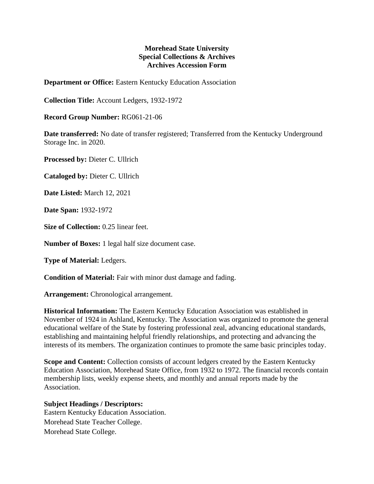## **Morehead State University Special Collections & Archives Archives Accession Form**

**Department or Office:** Eastern Kentucky Education Association

**Collection Title:** Account Ledgers, 1932-1972

**Record Group Number:** RG061-21-06

**Date transferred:** No date of transfer registered; Transferred from the Kentucky Underground Storage Inc. in 2020.

**Processed by:** Dieter C. Ullrich

**Cataloged by:** Dieter C. Ullrich

**Date Listed:** March 12, 2021

**Date Span:** 1932-1972

**Size of Collection:** 0.25 linear feet.

**Number of Boxes:** 1 legal half size document case.

**Type of Material:** Ledgers.

**Condition of Material:** Fair with minor dust damage and fading.

**Arrangement:** Chronological arrangement.

**Historical Information:** The Eastern Kentucky Education Association was established in November of 1924 in Ashland, Kentucky. The Association was organized to promote the general educational welfare of the State by fostering professional zeal, advancing educational standards, establishing and maintaining helpful friendly relationships, and protecting and advancing the interests of its members. The organization continues to promote the same basic principles today.

**Scope and Content:** Collection consists of account ledgers created by the Eastern Kentucky Education Association, Morehead State Office, from 1932 to 1972. The financial records contain membership lists, weekly expense sheets, and monthly and annual reports made by the Association.

## **Subject Headings / Descriptors:**

Eastern Kentucky Education Association. Morehead State Teacher College. Morehead State College.